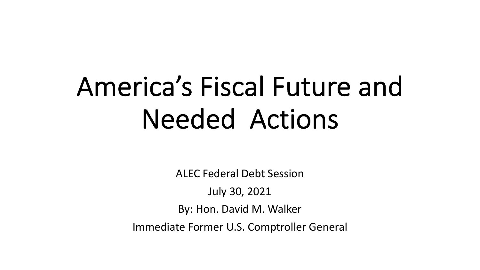# America's Fiscal Future and Needed Actions

ALEC Federal Debt Session

July 30, 2021

By: Hon. David M. Walker

Immediate Former U.S. Comptroller General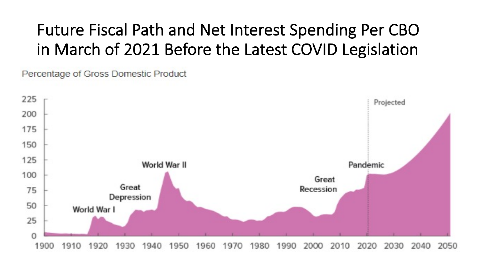#### Future Fiscal Path and Net Interest Spending Per CBO in March of 2021 Before the Latest COVID Legislation

Percentage of Gross Domestic Product

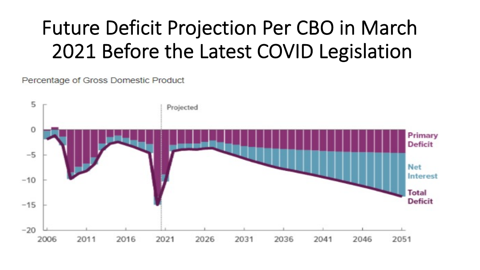# Future Deficit Projection Per CBO in March 2021 Before the Latest COVID Legislation

Percentage of Gross Domestic Product

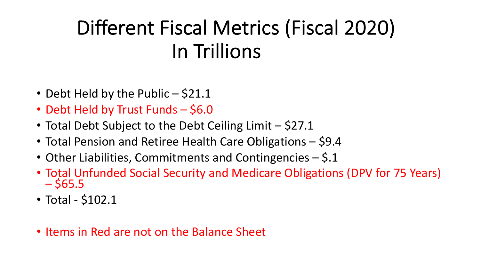# Different Fiscal Metrics (Fiscal 2020) In Trillions

- Debt Held by the Public \$21.1
- Debt Held by Trust Funds \$6.0
- Total Debt Subject to the Debt Ceiling Limit \$27.1
- Total Pension and Retiree Health Care Obligations \$9.4
- Other Liabilities, Commitments and Contingencies \$.1
- Total Unfunded Social Security and Medicare Obligations (DPV for 75 Years)  $-$  \$65.5
- Total \$102.1
- Items in Red are not on the Balance Sheet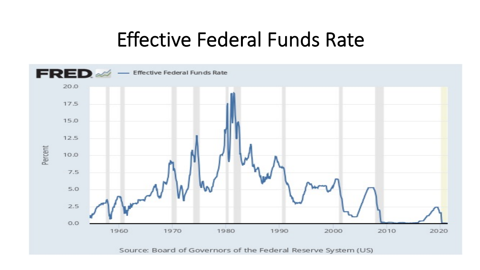#### Effective Federal Funds Rate

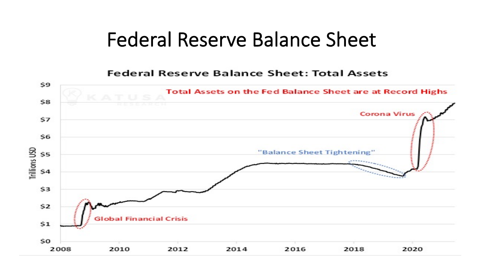#### Federal Reserve Balance Sheet

**Federal Reserve Balance Sheet: Total Assets** 

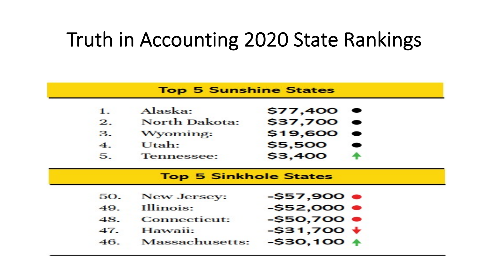## Truth in Accounting 2020 State Rankings

|         | <b>Top 5 Sunshine States</b> |                      |  |  |
|---------|------------------------------|----------------------|--|--|
| $1_{-}$ | Alaska:                      | $$77,400$ $\bullet$  |  |  |
| 2.      | North Dakota:                | \$37,700 ●           |  |  |
| 3.      | Wyoming:                     | $$19,600$ $\bullet$  |  |  |
| 4.      | Utah:                        | \$5,500              |  |  |
| 5.      | <b>Tennessee:</b>            | \$3,400              |  |  |
|         |                              |                      |  |  |
|         | <b>Top 5 Sinkhole States</b> |                      |  |  |
| 50.     | New Jersey:                  | $-557,900$ $\bullet$ |  |  |
| 49.     | Illinois:                    | $-$52,000$ $\bullet$ |  |  |
| 48.     | <b>Connecticut:</b>          | $-$50,700$ $\bullet$ |  |  |
| 47.     | Hawaii:                      | $-$ \$31,700 $+$     |  |  |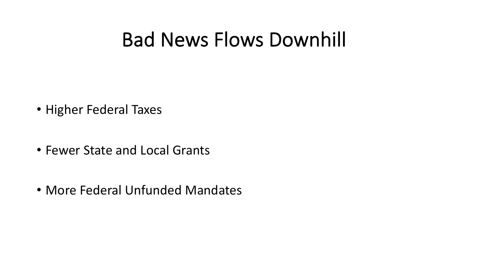## Bad News Flows Downhill

- Higher Federal Taxes
- Fewer State and Local Grants
- More Federal Unfunded Mandates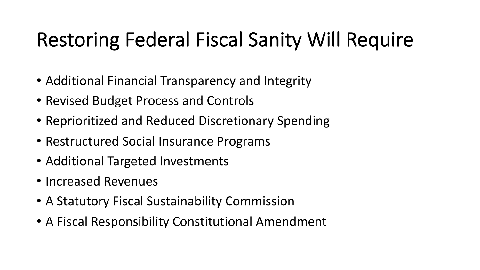# Restoring Federal Fiscal Sanity Will Require

- Additional Financial Transparency and Integrity
- Revised Budget Process and Controls
- Reprioritized and Reduced Discretionary Spending
- Restructured Social Insurance Programs
- Additional Targeted Investments
- Increased Revenues
- A Statutory Fiscal Sustainability Commission
- A Fiscal Responsibility Constitutional Amendment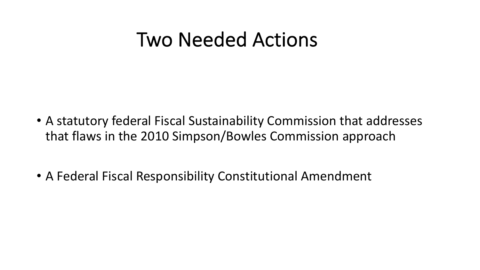## Two Needed Actions

- A statutory federal Fiscal Sustainability Commission that addresses that flaws in the 2010 Simpson/Bowles Commission approach
- A Federal Fiscal Responsibility Constitutional Amendment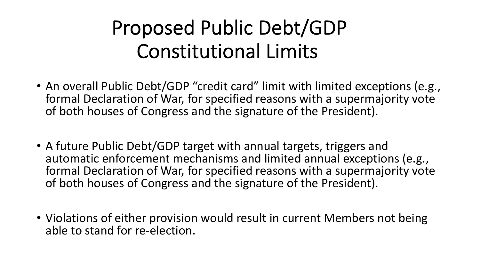# Proposed Public Debt/GDP Constitutional Limits

- An overall Public Debt/GDP "credit card" limit with limited exceptions (e.g., formal Declaration of War, for specified reasons with a supermajority vote of both houses of Congress and the signature of the President).
- A future Public Debt/GDP target with annual targets, triggers and automatic enforcement mechanisms and limited annual exceptions (e.g., formal Declaration of War, for specified reasons with a supermajority vote of both houses of Congress and the signature of the President).
- Violations of either provision would result in current Members not being able to stand for re-election.